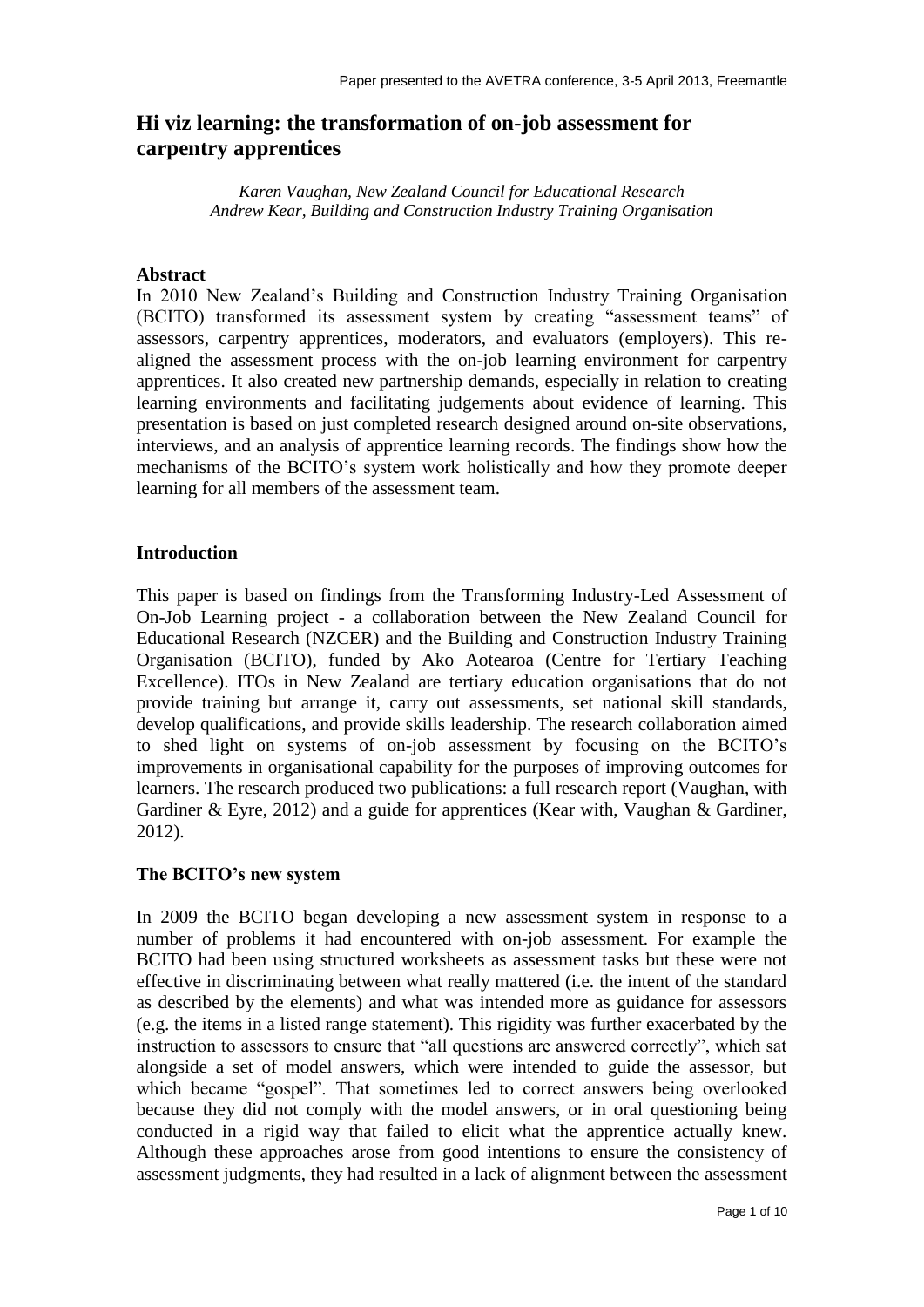# **Hi viz learning: the transformation of on-job assessment for carpentry apprentices**

*Karen Vaughan, New Zealand Council for Educational Research Andrew Kear, Building and Construction Industry Training Organisation*

#### **Abstract**

In 2010 New Zealand's Building and Construction Industry Training Organisation (BCITO) transformed its assessment system by creating "assessment teams" of assessors, carpentry apprentices, moderators, and evaluators (employers). This realigned the assessment process with the on-job learning environment for carpentry apprentices. It also created new partnership demands, especially in relation to creating learning environments and facilitating judgements about evidence of learning. This presentation is based on just completed research designed around on-site observations, interviews, and an analysis of apprentice learning records. The findings show how the mechanisms of the BCITO's system work holistically and how they promote deeper learning for all members of the assessment team.

#### **Introduction**

This paper is based on findings from the Transforming Industry-Led Assessment of On-Job Learning project - a collaboration between the New Zealand Council for Educational Research (NZCER) and the Building and Construction Industry Training Organisation (BCITO), funded by Ako Aotearoa (Centre for Tertiary Teaching Excellence). ITOs in New Zealand are tertiary education organisations that do not provide training but arrange it, carry out assessments, set national skill standards, develop qualifications, and provide skills leadership. The research collaboration aimed to shed light on systems of on-job assessment by focusing on the BCITO's improvements in organisational capability for the purposes of improving outcomes for learners. The research produced two publications: a full research report (Vaughan, with Gardiner & Eyre, 2012) and a guide for apprentices (Kear with, Vaughan & Gardiner, 2012).

#### **The BCITO's new system**

In 2009 the BCITO began developing a new assessment system in response to a number of problems it had encountered with on-job assessment. For example the BCITO had been using structured worksheets as assessment tasks but these were not effective in discriminating between what really mattered (i.e. the intent of the standard as described by the elements) and what was intended more as guidance for assessors (e.g. the items in a listed range statement). This rigidity was further exacerbated by the instruction to assessors to ensure that "all questions are answered correctly", which sat alongside a set of model answers, which were intended to guide the assessor, but which became "gospel". That sometimes led to correct answers being overlooked because they did not comply with the model answers, or in oral questioning being conducted in a rigid way that failed to elicit what the apprentice actually knew. Although these approaches arose from good intentions to ensure the consistency of assessment judgments, they had resulted in a lack of alignment between the assessment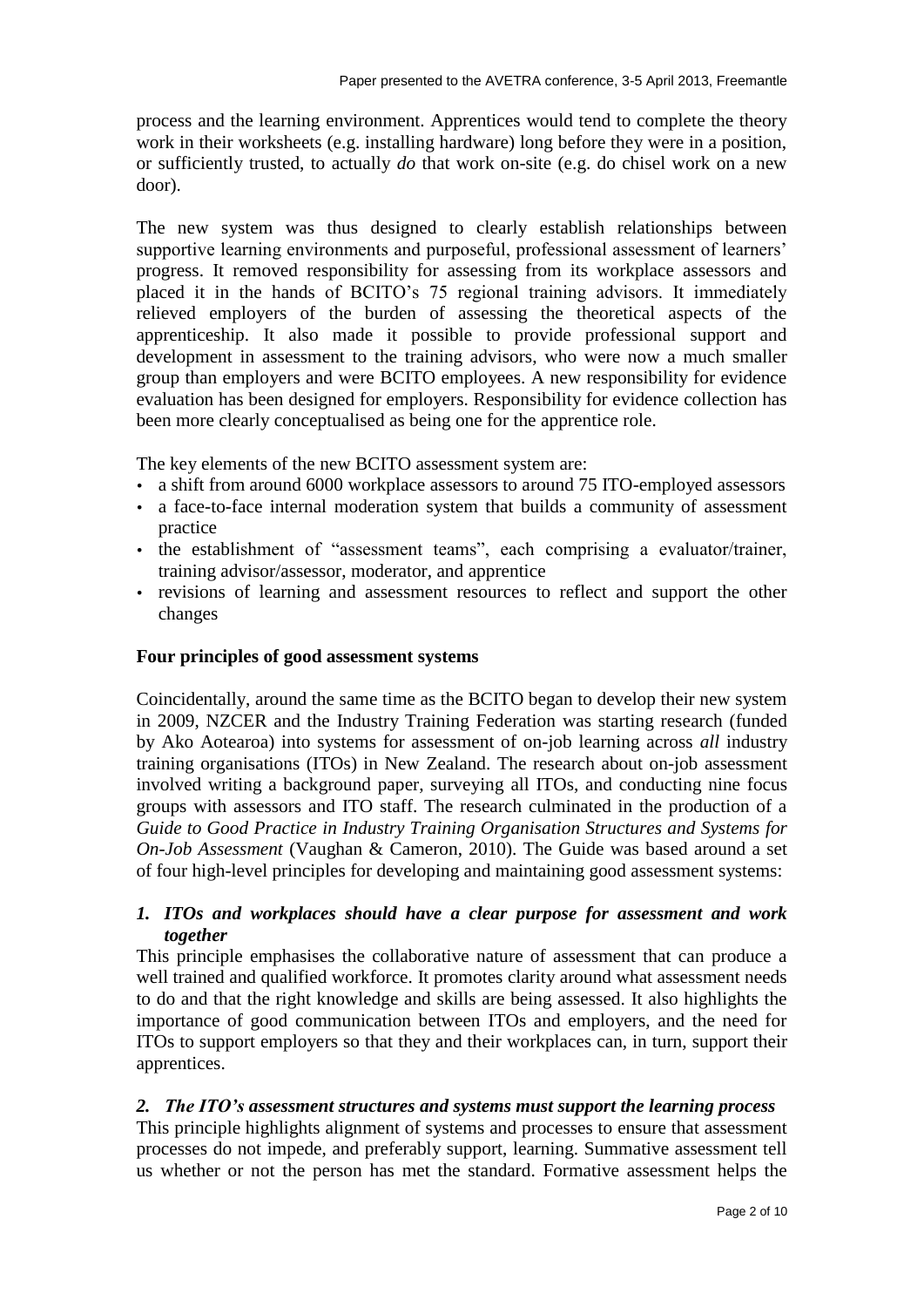process and the learning environment. Apprentices would tend to complete the theory work in their worksheets (e.g. installing hardware) long before they were in a position, or sufficiently trusted, to actually *do* that work on-site (e.g. do chisel work on a new door).

The new system was thus designed to clearly establish relationships between supportive learning environments and purposeful, professional assessment of learners' progress. It removed responsibility for assessing from its workplace assessors and placed it in the hands of BCITO's 75 regional training advisors. It immediately relieved employers of the burden of assessing the theoretical aspects of the apprenticeship. It also made it possible to provide professional support and development in assessment to the training advisors, who were now a much smaller group than employers and were BCITO employees. A new responsibility for evidence evaluation has been designed for employers. Responsibility for evidence collection has been more clearly conceptualised as being one for the apprentice role.

The key elements of the new BCITO assessment system are:

- a shift from around 6000 workplace assessors to around 75 ITO-employed assessors
- a face-to-face internal moderation system that builds a community of assessment practice
- the establishment of "assessment teams", each comprising a evaluator/trainer, training advisor/assessor, moderator, and apprentice
- revisions of learning and assessment resources to reflect and support the other changes

### **Four principles of good assessment systems**

Coincidentally, around the same time as the BCITO began to develop their new system in 2009, NZCER and the Industry Training Federation was starting research (funded by Ako Aotearoa) into systems for assessment of on-job learning across *all* industry training organisations (ITOs) in New Zealand. The research about on-job assessment involved writing a background paper, surveying all ITOs, and conducting nine focus groups with assessors and ITO staff. The research culminated in the production of a *Guide to Good Practice in Industry Training Organisation Structures and Systems for On-Job Assessment* (Vaughan & Cameron, 2010). The Guide was based around a set of four high-level principles for developing and maintaining good assessment systems:

### *1. ITOs and workplaces should have a clear purpose for assessment and work together*

This principle emphasises the collaborative nature of assessment that can produce a well trained and qualified workforce. It promotes clarity around what assessment needs to do and that the right knowledge and skills are being assessed. It also highlights the importance of good communication between ITOs and employers, and the need for ITOs to support employers so that they and their workplaces can, in turn, support their apprentices.

### *2. The ITO's assessment structures and systems must support the learning process*

This principle highlights alignment of systems and processes to ensure that assessment processes do not impede, and preferably support, learning. Summative assessment tell us whether or not the person has met the standard. Formative assessment helps the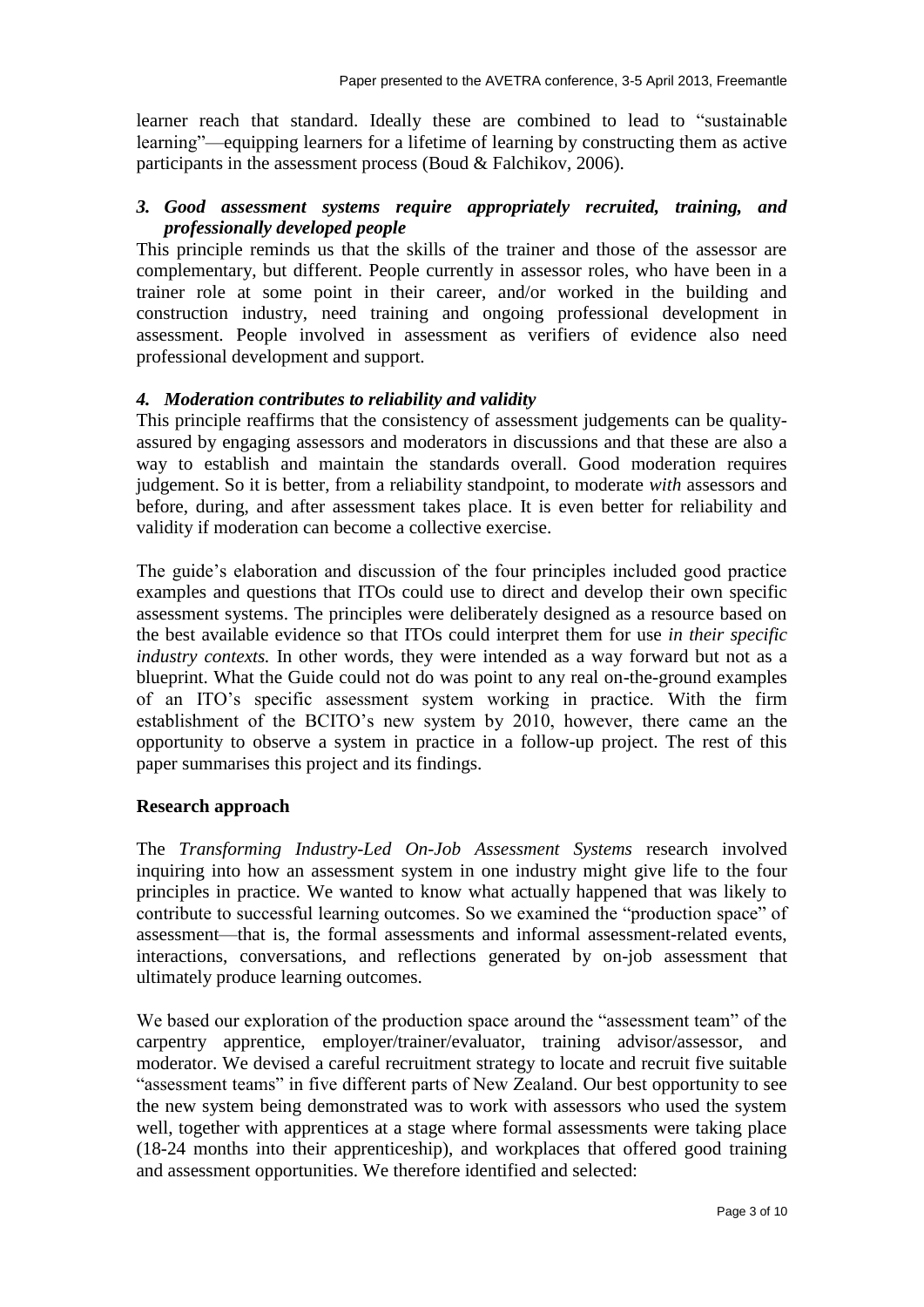learner reach that standard. Ideally these are combined to lead to "sustainable learning"—equipping learners for a lifetime of learning by constructing them as active participants in the assessment process (Boud & Falchikov, 2006).

# *3. Good assessment systems require appropriately recruited, training, and professionally developed people*

This principle reminds us that the skills of the trainer and those of the assessor are complementary, but different. People currently in assessor roles, who have been in a trainer role at some point in their career, and/or worked in the building and construction industry, need training and ongoing professional development in assessment. People involved in assessment as verifiers of evidence also need professional development and support.

# *4. Moderation contributes to reliability and validity*

This principle reaffirms that the consistency of assessment judgements can be qualityassured by engaging assessors and moderators in discussions and that these are also a way to establish and maintain the standards overall. Good moderation requires judgement. So it is better, from a reliability standpoint, to moderate *with* assessors and before, during, and after assessment takes place. It is even better for reliability and validity if moderation can become a collective exercise.

The guide's elaboration and discussion of the four principles included good practice examples and questions that ITOs could use to direct and develop their own specific assessment systems. The principles were deliberately designed as a resource based on the best available evidence so that ITOs could interpret them for use *in their specific industry contexts.* In other words, they were intended as a way forward but not as a blueprint. What the Guide could not do was point to any real on-the-ground examples of an ITO's specific assessment system working in practice. With the firm establishment of the BCITO's new system by 2010, however, there came an the opportunity to observe a system in practice in a follow-up project. The rest of this paper summarises this project and its findings.

### **Research approach**

The *Transforming Industry-Led On-Job Assessment Systems* research involved inquiring into how an assessment system in one industry might give life to the four principles in practice. We wanted to know what actually happened that was likely to contribute to successful learning outcomes. So we examined the "production space" of assessment—that is, the formal assessments and informal assessment-related events, interactions, conversations, and reflections generated by on-job assessment that ultimately produce learning outcomes.

We based our exploration of the production space around the "assessment team" of the carpentry apprentice, employer/trainer/evaluator, training advisor/assessor, and moderator. We devised a careful recruitment strategy to locate and recruit five suitable "assessment teams" in five different parts of New Zealand. Our best opportunity to see the new system being demonstrated was to work with assessors who used the system well, together with apprentices at a stage where formal assessments were taking place (18-24 months into their apprenticeship), and workplaces that offered good training and assessment opportunities. We therefore identified and selected: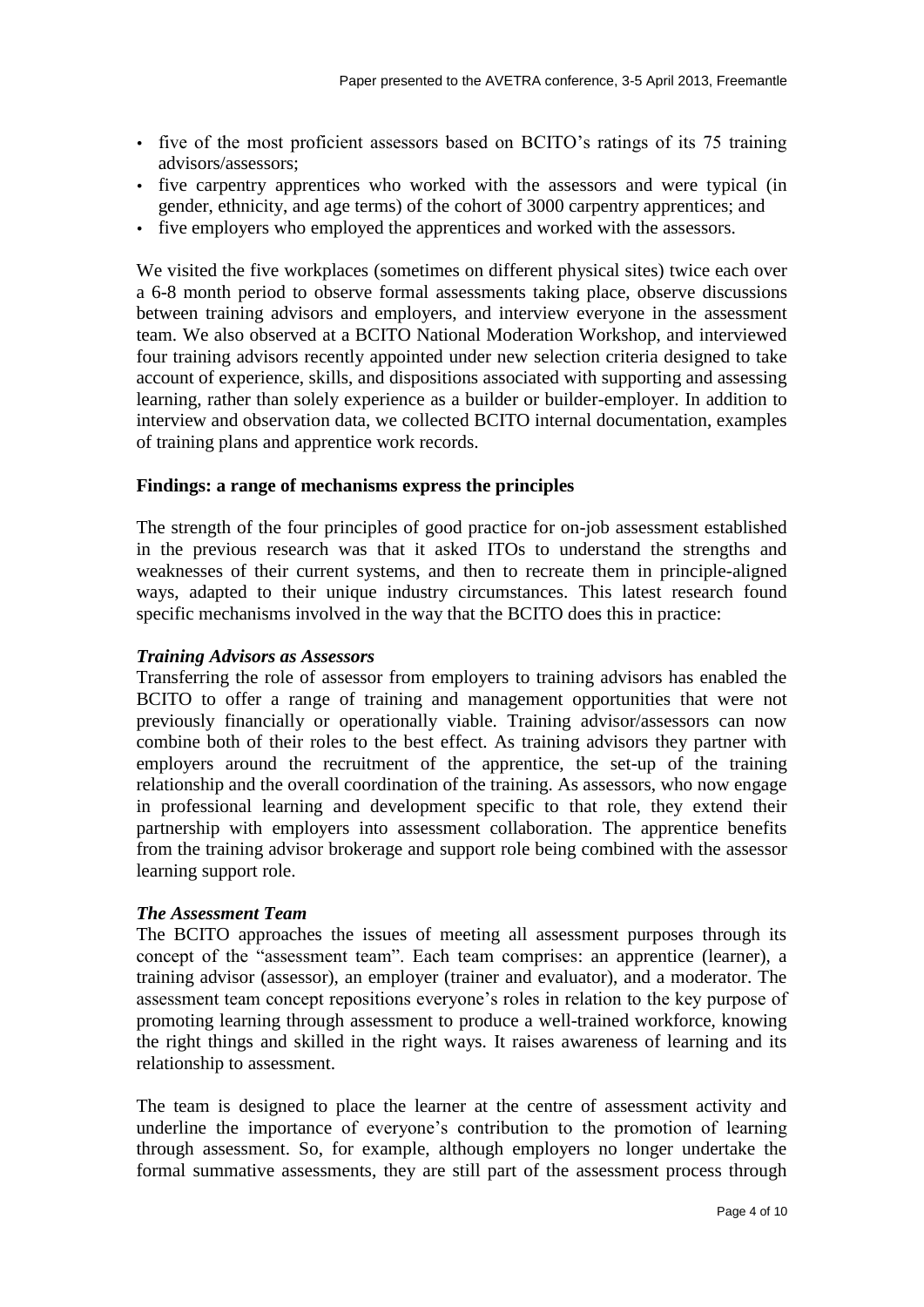- five of the most proficient assessors based on BCITO's ratings of its 75 training advisors/assessors;
- five carpentry apprentices who worked with the assessors and were typical (in gender, ethnicity, and age terms) of the cohort of 3000 carpentry apprentices; and
- five employers who employed the apprentices and worked with the assessors.

We visited the five workplaces (sometimes on different physical sites) twice each over a 6-8 month period to observe formal assessments taking place, observe discussions between training advisors and employers, and interview everyone in the assessment team. We also observed at a BCITO National Moderation Workshop, and interviewed four training advisors recently appointed under new selection criteria designed to take account of experience, skills, and dispositions associated with supporting and assessing learning, rather than solely experience as a builder or builder-employer. In addition to interview and observation data, we collected BCITO internal documentation, examples of training plans and apprentice work records.

# **Findings: a range of mechanisms express the principles**

The strength of the four principles of good practice for on-job assessment established in the previous research was that it asked ITOs to understand the strengths and weaknesses of their current systems, and then to recreate them in principle-aligned ways, adapted to their unique industry circumstances. This latest research found specific mechanisms involved in the way that the BCITO does this in practice:

### *Training Advisors as Assessors*

Transferring the role of assessor from employers to training advisors has enabled the BCITO to offer a range of training and management opportunities that were not previously financially or operationally viable. Training advisor/assessors can now combine both of their roles to the best effect. As training advisors they partner with employers around the recruitment of the apprentice, the set-up of the training relationship and the overall coordination of the training. As assessors, who now engage in professional learning and development specific to that role, they extend their partnership with employers into assessment collaboration. The apprentice benefits from the training advisor brokerage and support role being combined with the assessor learning support role.

### *The Assessment Team*

The BCITO approaches the issues of meeting all assessment purposes through its concept of the "assessment team". Each team comprises: an apprentice (learner), a training advisor (assessor), an employer (trainer and evaluator), and a moderator. The assessment team concept repositions everyone's roles in relation to the key purpose of promoting learning through assessment to produce a well-trained workforce, knowing the right things and skilled in the right ways. It raises awareness of learning and its relationship to assessment.

The team is designed to place the learner at the centre of assessment activity and underline the importance of everyone's contribution to the promotion of learning through assessment. So, for example, although employers no longer undertake the formal summative assessments, they are still part of the assessment process through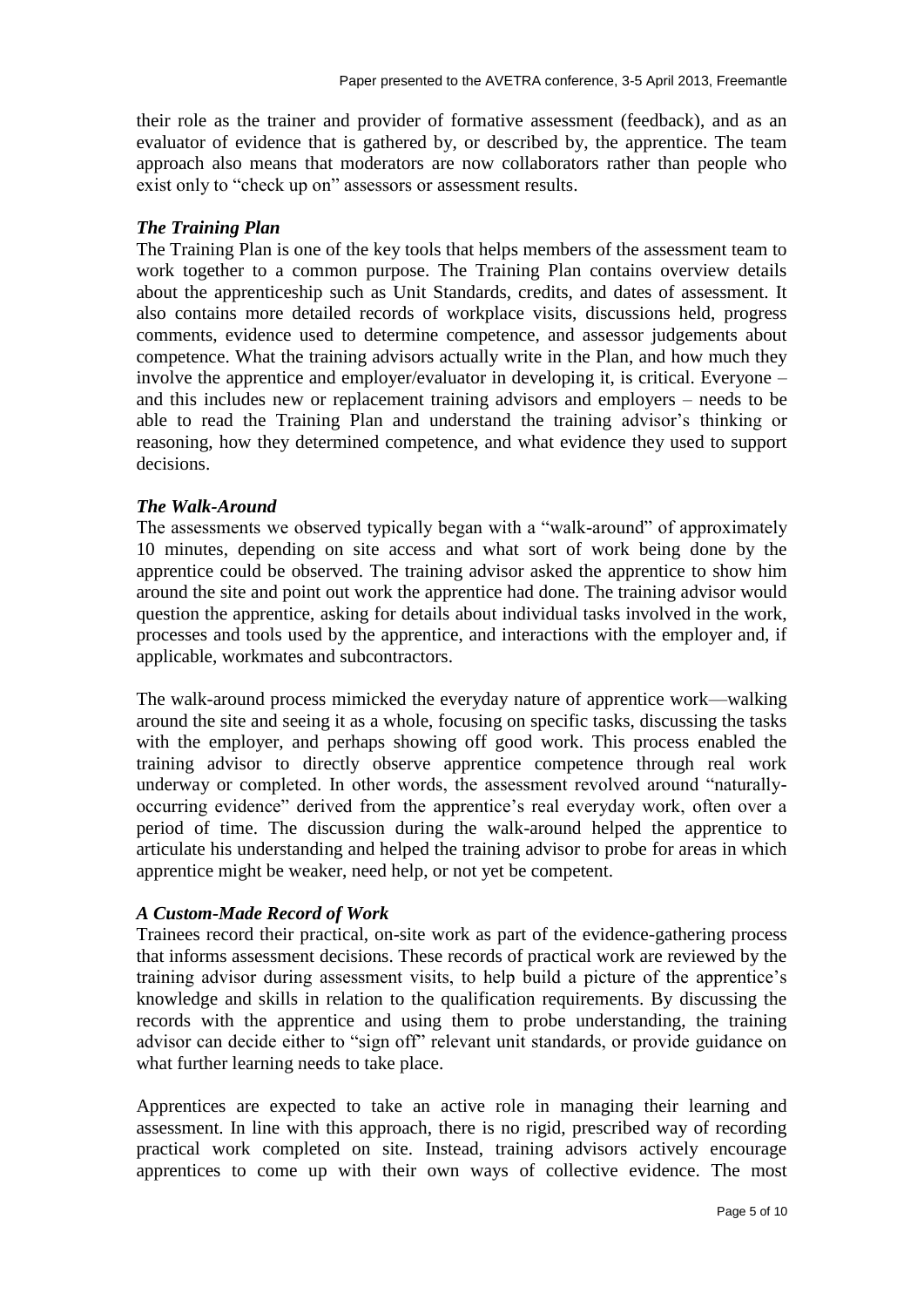their role as the trainer and provider of formative assessment (feedback), and as an evaluator of evidence that is gathered by, or described by, the apprentice. The team approach also means that moderators are now collaborators rather than people who exist only to "check up on" assessors or assessment results.

# *The Training Plan*

The Training Plan is one of the key tools that helps members of the assessment team to work together to a common purpose. The Training Plan contains overview details about the apprenticeship such as Unit Standards, credits, and dates of assessment. It also contains more detailed records of workplace visits, discussions held, progress comments, evidence used to determine competence, and assessor judgements about competence. What the training advisors actually write in the Plan, and how much they involve the apprentice and employer/evaluator in developing it, is critical. Everyone – and this includes new or replacement training advisors and employers – needs to be able to read the Training Plan and understand the training advisor's thinking or reasoning, how they determined competence, and what evidence they used to support decisions.

# *The Walk-Around*

The assessments we observed typically began with a "walk-around" of approximately 10 minutes, depending on site access and what sort of work being done by the apprentice could be observed. The training advisor asked the apprentice to show him around the site and point out work the apprentice had done. The training advisor would question the apprentice, asking for details about individual tasks involved in the work, processes and tools used by the apprentice, and interactions with the employer and, if applicable, workmates and subcontractors.

The walk-around process mimicked the everyday nature of apprentice work—walking around the site and seeing it as a whole, focusing on specific tasks, discussing the tasks with the employer, and perhaps showing off good work. This process enabled the training advisor to directly observe apprentice competence through real work underway or completed. In other words, the assessment revolved around "naturallyoccurring evidence" derived from the apprentice's real everyday work, often over a period of time. The discussion during the walk-around helped the apprentice to articulate his understanding and helped the training advisor to probe for areas in which apprentice might be weaker, need help, or not yet be competent.

### *A Custom-Made Record of Work*

Trainees record their practical, on-site work as part of the evidence-gathering process that informs assessment decisions. These records of practical work are reviewed by the training advisor during assessment visits, to help build a picture of the apprentice's knowledge and skills in relation to the qualification requirements. By discussing the records with the apprentice and using them to probe understanding, the training advisor can decide either to "sign off" relevant unit standards, or provide guidance on what further learning needs to take place.

Apprentices are expected to take an active role in managing their learning and assessment. In line with this approach, there is no rigid, prescribed way of recording practical work completed on site. Instead, training advisors actively encourage apprentices to come up with their own ways of collective evidence. The most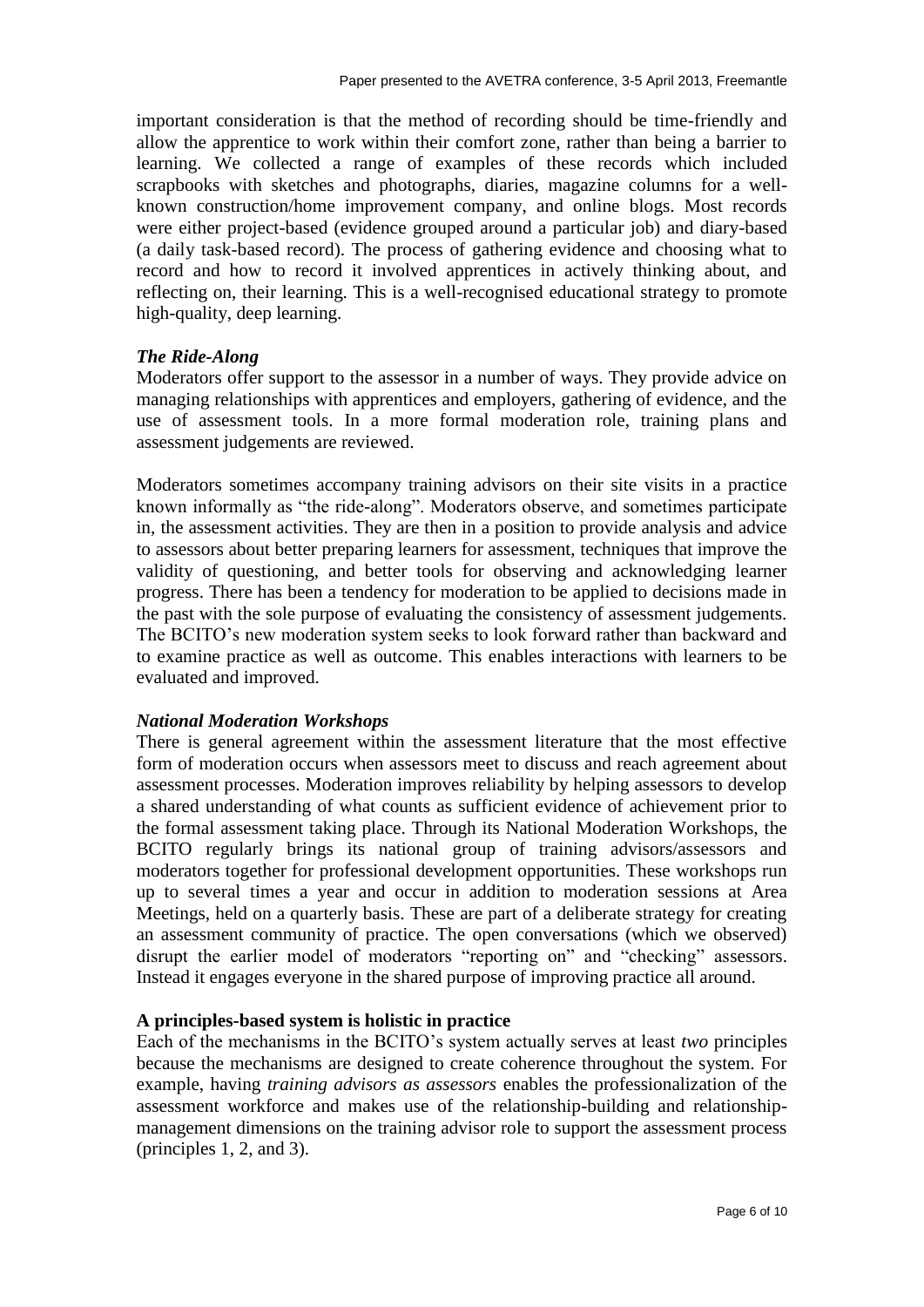important consideration is that the method of recording should be time-friendly and allow the apprentice to work within their comfort zone, rather than being a barrier to learning. We collected a range of examples of these records which included scrapbooks with sketches and photographs, diaries, magazine columns for a wellknown construction/home improvement company, and online blogs. Most records were either project-based (evidence grouped around a particular job) and diary-based (a daily task-based record). The process of gathering evidence and choosing what to record and how to record it involved apprentices in actively thinking about, and reflecting on, their learning. This is a well-recognised educational strategy to promote high-quality, deep learning.

### *The Ride-Along*

Moderators offer support to the assessor in a number of ways. They provide advice on managing relationships with apprentices and employers, gathering of evidence, and the use of assessment tools. In a more formal moderation role, training plans and assessment judgements are reviewed.

Moderators sometimes accompany training advisors on their site visits in a practice known informally as "the ride-along". Moderators observe, and sometimes participate in, the assessment activities. They are then in a position to provide analysis and advice to assessors about better preparing learners for assessment, techniques that improve the validity of questioning, and better tools for observing and acknowledging learner progress. There has been a tendency for moderation to be applied to decisions made in the past with the sole purpose of evaluating the consistency of assessment judgements. The BCITO's new moderation system seeks to look forward rather than backward and to examine practice as well as outcome. This enables interactions with learners to be evaluated and improved.

### *National Moderation Workshops*

There is general agreement within the assessment literature that the most effective form of moderation occurs when assessors meet to discuss and reach agreement about assessment processes. Moderation improves reliability by helping assessors to develop a shared understanding of what counts as sufficient evidence of achievement prior to the formal assessment taking place. Through its National Moderation Workshops, the BCITO regularly brings its national group of training advisors/assessors and moderators together for professional development opportunities. These workshops run up to several times a year and occur in addition to moderation sessions at Area Meetings, held on a quarterly basis. These are part of a deliberate strategy for creating an assessment community of practice. The open conversations (which we observed) disrupt the earlier model of moderators "reporting on" and "checking" assessors. Instead it engages everyone in the shared purpose of improving practice all around.

### **A principles-based system is holistic in practice**

Each of the mechanisms in the BCITO's system actually serves at least *two* principles because the mechanisms are designed to create coherence throughout the system. For example, having *training advisors as assessors* enables the professionalization of the assessment workforce and makes use of the relationship-building and relationshipmanagement dimensions on the training advisor role to support the assessment process (principles 1, 2, and 3).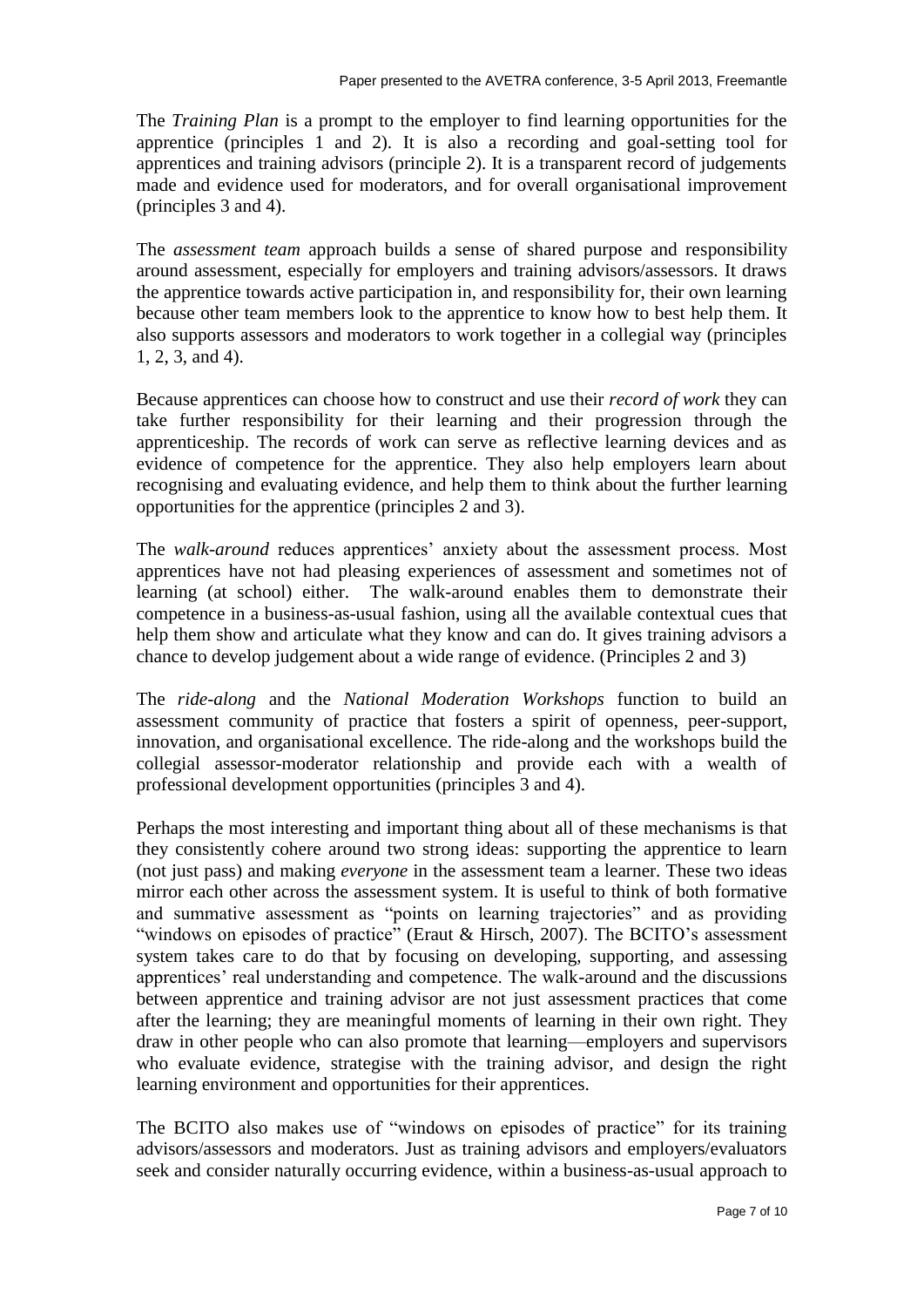The *Training Plan* is a prompt to the employer to find learning opportunities for the apprentice (principles 1 and 2). It is also a recording and goal-setting tool for apprentices and training advisors (principle 2). It is a transparent record of judgements made and evidence used for moderators, and for overall organisational improvement (principles 3 and 4).

The *assessment team* approach builds a sense of shared purpose and responsibility around assessment, especially for employers and training advisors/assessors. It draws the apprentice towards active participation in, and responsibility for, their own learning because other team members look to the apprentice to know how to best help them. It also supports assessors and moderators to work together in a collegial way (principles 1, 2, 3, and 4).

Because apprentices can choose how to construct and use their *record of work* they can take further responsibility for their learning and their progression through the apprenticeship. The records of work can serve as reflective learning devices and as evidence of competence for the apprentice. They also help employers learn about recognising and evaluating evidence, and help them to think about the further learning opportunities for the apprentice (principles 2 and 3).

The *walk-around* reduces apprentices' anxiety about the assessment process. Most apprentices have not had pleasing experiences of assessment and sometimes not of learning (at school) either. The walk-around enables them to demonstrate their competence in a business-as-usual fashion, using all the available contextual cues that help them show and articulate what they know and can do. It gives training advisors a chance to develop judgement about a wide range of evidence. (Principles 2 and 3)

The *ride-along* and the *National Moderation Workshops* function to build an assessment community of practice that fosters a spirit of openness, peer-support, innovation, and organisational excellence. The ride-along and the workshops build the collegial assessor-moderator relationship and provide each with a wealth of professional development opportunities (principles 3 and 4).

Perhaps the most interesting and important thing about all of these mechanisms is that they consistently cohere around two strong ideas: supporting the apprentice to learn (not just pass) and making *everyone* in the assessment team a learner. These two ideas mirror each other across the assessment system. It is useful to think of both formative and summative assessment as "points on learning trajectories" and as providing "windows on episodes of practice" (Eraut & Hirsch, 2007). The BCITO's assessment system takes care to do that by focusing on developing, supporting, and assessing apprentices' real understanding and competence. The walk-around and the discussions between apprentice and training advisor are not just assessment practices that come after the learning; they are meaningful moments of learning in their own right. They draw in other people who can also promote that learning—employers and supervisors who evaluate evidence, strategise with the training advisor, and design the right learning environment and opportunities for their apprentices.

The BCITO also makes use of "windows on episodes of practice" for its training advisors/assessors and moderators. Just as training advisors and employers/evaluators seek and consider naturally occurring evidence, within a business-as-usual approach to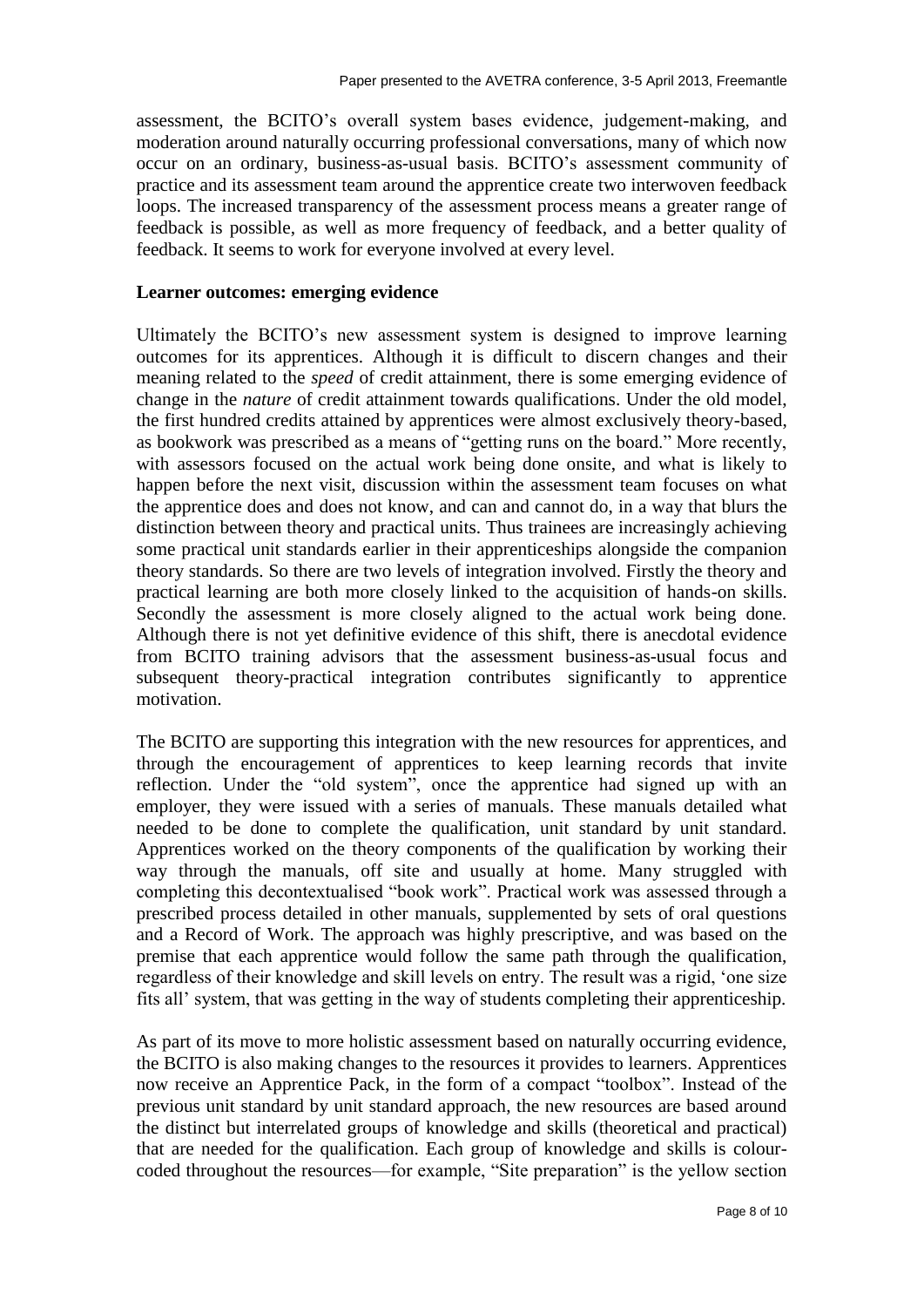assessment, the BCITO's overall system bases evidence, judgement-making, and moderation around naturally occurring professional conversations, many of which now occur on an ordinary, business-as-usual basis. BCITO's assessment community of practice and its assessment team around the apprentice create two interwoven feedback loops. The increased transparency of the assessment process means a greater range of feedback is possible, as well as more frequency of feedback, and a better quality of feedback. It seems to work for everyone involved at every level.

# **Learner outcomes: emerging evidence**

Ultimately the BCITO's new assessment system is designed to improve learning outcomes for its apprentices. Although it is difficult to discern changes and their meaning related to the *speed* of credit attainment, there is some emerging evidence of change in the *nature* of credit attainment towards qualifications. Under the old model, the first hundred credits attained by apprentices were almost exclusively theory-based, as bookwork was prescribed as a means of "getting runs on the board." More recently, with assessors focused on the actual work being done onsite, and what is likely to happen before the next visit, discussion within the assessment team focuses on what the apprentice does and does not know, and can and cannot do, in a way that blurs the distinction between theory and practical units. Thus trainees are increasingly achieving some practical unit standards earlier in their apprenticeships alongside the companion theory standards. So there are two levels of integration involved. Firstly the theory and practical learning are both more closely linked to the acquisition of hands-on skills. Secondly the assessment is more closely aligned to the actual work being done. Although there is not yet definitive evidence of this shift, there is anecdotal evidence from BCITO training advisors that the assessment business-as-usual focus and subsequent theory-practical integration contributes significantly to apprentice motivation.

The BCITO are supporting this integration with the new resources for apprentices, and through the encouragement of apprentices to keep learning records that invite reflection. Under the "old system", once the apprentice had signed up with an employer, they were issued with a series of manuals. These manuals detailed what needed to be done to complete the qualification, unit standard by unit standard. Apprentices worked on the theory components of the qualification by working their way through the manuals, off site and usually at home. Many struggled with completing this decontextualised "book work". Practical work was assessed through a prescribed process detailed in other manuals, supplemented by sets of oral questions and a Record of Work. The approach was highly prescriptive, and was based on the premise that each apprentice would follow the same path through the qualification, regardless of their knowledge and skill levels on entry. The result was a rigid, 'one size fits all' system, that was getting in the way of students completing their apprenticeship.

As part of its move to more holistic assessment based on naturally occurring evidence, the BCITO is also making changes to the resources it provides to learners. Apprentices now receive an Apprentice Pack, in the form of a compact "toolbox". Instead of the previous unit standard by unit standard approach, the new resources are based around the distinct but interrelated groups of knowledge and skills (theoretical and practical) that are needed for the qualification. Each group of knowledge and skills is colourcoded throughout the resources—for example, "Site preparation" is the yellow section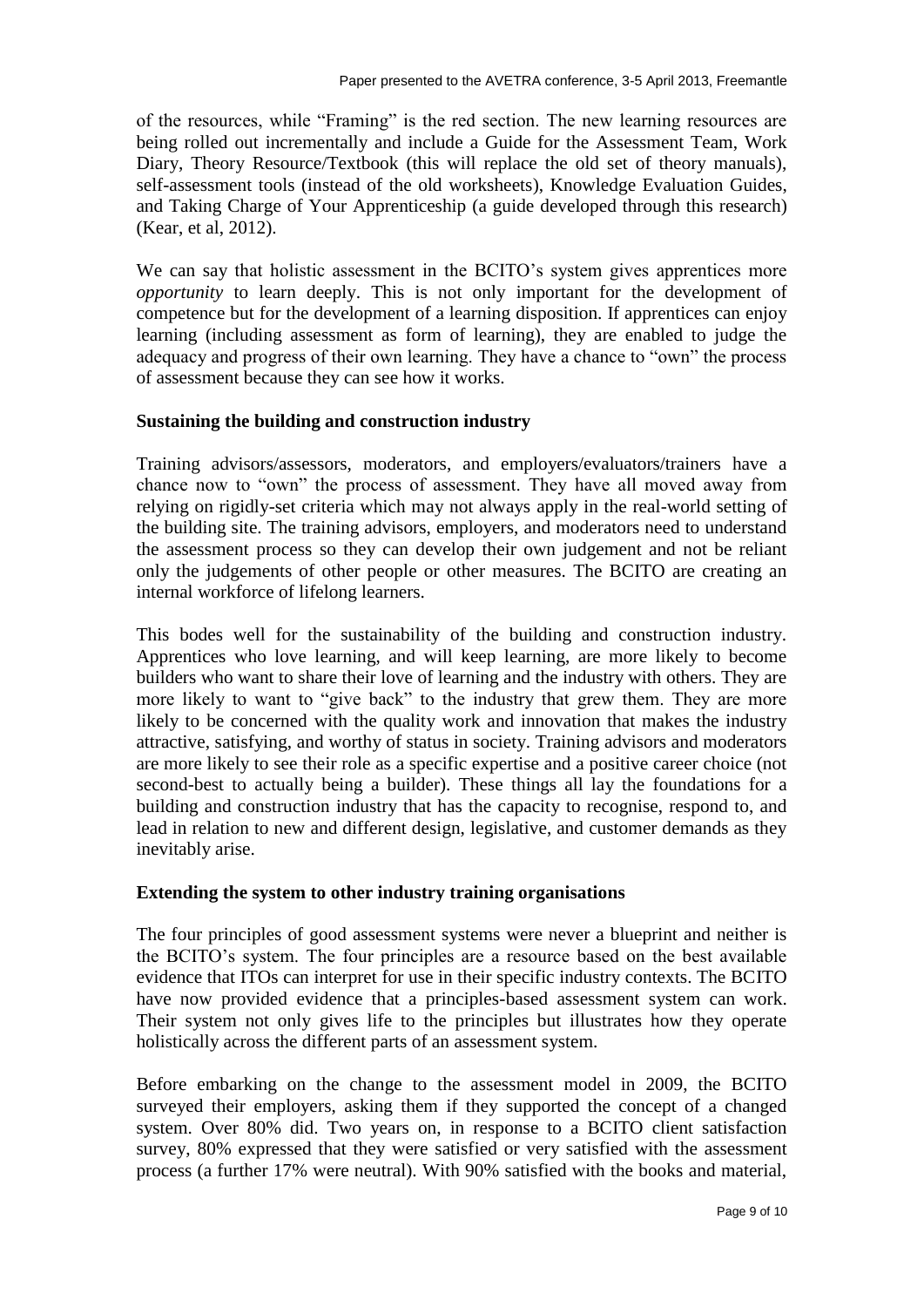of the resources, while "Framing" is the red section. The new learning resources are being rolled out incrementally and include a Guide for the Assessment Team, Work Diary, Theory Resource/Textbook (this will replace the old set of theory manuals), self-assessment tools (instead of the old worksheets), Knowledge Evaluation Guides, and Taking Charge of Your Apprenticeship (a guide developed through this research) (Kear, et al, 2012).

We can say that holistic assessment in the BCITO's system gives apprentices more *opportunity* to learn deeply. This is not only important for the development of competence but for the development of a learning disposition. If apprentices can enjoy learning (including assessment as form of learning), they are enabled to judge the adequacy and progress of their own learning. They have a chance to "own" the process of assessment because they can see how it works.

### **Sustaining the building and construction industry**

Training advisors/assessors, moderators, and employers/evaluators/trainers have a chance now to "own" the process of assessment. They have all moved away from relying on rigidly-set criteria which may not always apply in the real-world setting of the building site. The training advisors, employers, and moderators need to understand the assessment process so they can develop their own judgement and not be reliant only the judgements of other people or other measures. The BCITO are creating an internal workforce of lifelong learners.

This bodes well for the sustainability of the building and construction industry. Apprentices who love learning, and will keep learning, are more likely to become builders who want to share their love of learning and the industry with others. They are more likely to want to "give back" to the industry that grew them. They are more likely to be concerned with the quality work and innovation that makes the industry attractive, satisfying, and worthy of status in society. Training advisors and moderators are more likely to see their role as a specific expertise and a positive career choice (not second-best to actually being a builder). These things all lay the foundations for a building and construction industry that has the capacity to recognise, respond to, and lead in relation to new and different design, legislative, and customer demands as they inevitably arise.

### **Extending the system to other industry training organisations**

The four principles of good assessment systems were never a blueprint and neither is the BCITO's system. The four principles are a resource based on the best available evidence that ITOs can interpret for use in their specific industry contexts. The BCITO have now provided evidence that a principles-based assessment system can work. Their system not only gives life to the principles but illustrates how they operate holistically across the different parts of an assessment system.

Before embarking on the change to the assessment model in 2009, the BCITO surveyed their employers, asking them if they supported the concept of a changed system. Over 80% did. Two years on, in response to a BCITO client satisfaction survey, 80% expressed that they were satisfied or very satisfied with the assessment process (a further 17% were neutral). With 90% satisfied with the books and material,